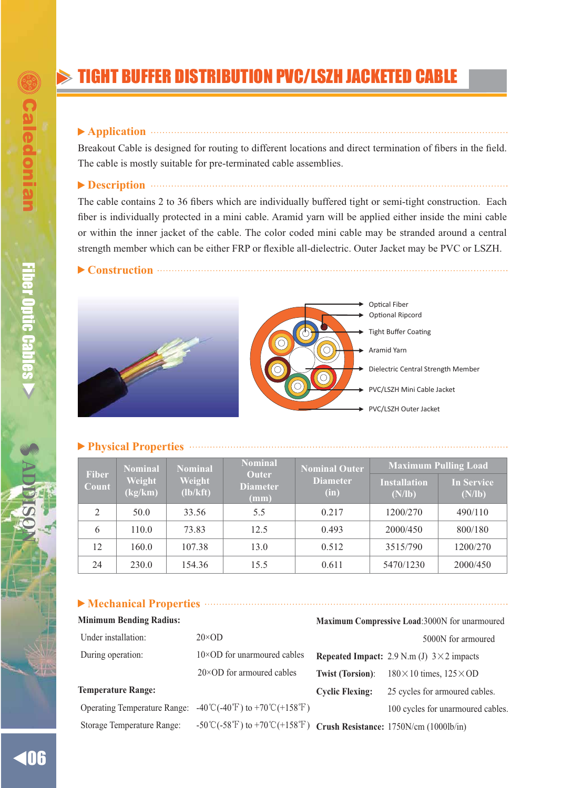# TIGHT BUFFER DISTRIBUTION PVC/LSZH JACKETED CABLE

### **Application**

Breakout Cable is designed for routing to different locations and direct termination of fibers in the field. The cable is mostly suitable for pre-terminated cable assemblies.

**Description**

The cable contains 2 to 36 fibers which are individually buffered tight or semi-tight construction. Each fiber is individually protected in a mini cable. Aramid yarn will be applied either inside the mini cable or within the inner jacket of the cable. The color coded mini cable may be stranded around a central strength member which can be either FRP or flexible all-dielectric. Outer Jacket may be PVC or LSZH.

**Construction**





Tight Buffer Coatin Aramid Yarn Dielectric Central Strength Member PVC/LSZH Mini Cable Jacket PVC/LSZH Outer Jacket Optional Ripcord

#### **Physical Properties**

| <b>Fiber</b><br>Count | <b>Nominal</b><br>Weight<br>(kg/km) | <b>Nominal</b><br>Weight<br>(lb/kft) | <b>Nominal</b><br><b>Outer</b><br><b>Diameter</b><br>(mm) | <b>Nominal Outer</b><br><b>Diameter</b><br>(in) | <b>Maximum Pulling Load</b>   |                             |
|-----------------------|-------------------------------------|--------------------------------------|-----------------------------------------------------------|-------------------------------------------------|-------------------------------|-----------------------------|
|                       |                                     |                                      |                                                           |                                                 | <b>Installation</b><br>(N/lb) | <b>In Service</b><br>(N/lb) |
| $\mathfrak{D}$        | 50.0                                | 33.56                                | 5.5                                                       | 0.217                                           | 1200/270                      | 490/110                     |
| 6                     | 110.0                               | 73.83                                | 12.5                                                      | 0.493                                           | 2000/450                      | 800/180                     |
| 12                    | 160.0                               | 107.38                               | 13.0                                                      | 0.512                                           | 3515/790                      | 1200/270                    |
| 24                    | 230.0                               | 154.36                               | 15.5                                                      | 0.611                                           | 5470/1230                     | 2000/450                    |

## **Mechanical Properties**

| <b>Minimum Bending Radius:</b>      |                                                                         | Maximum Compressive Load:3000N for unarmoured |                                                   |  |
|-------------------------------------|-------------------------------------------------------------------------|-----------------------------------------------|---------------------------------------------------|--|
| Under installation:                 | $20 \times OD$                                                          |                                               | 5000N for armoured                                |  |
| During operation:                   | $10\times$ OD for unarmoured cables                                     |                                               | Repeated Impact: 2.9 N.m (J) $3 \times 2$ impacts |  |
|                                     | $20 \times OD$ for armoured cables                                      | <b>Twist (Torsion):</b>                       | $180 \times 10$ times, $125 \times OD$            |  |
| <b>Temperature Range:</b>           |                                                                         | <b>Cyclic Flexing:</b>                        | 25 cycles for armoured cables.                    |  |
| <b>Operating Temperature Range:</b> | $-40^{\circ}$ C( $-40^{\circ}$ F) to $+70^{\circ}$ C( $+158^{\circ}$ F) |                                               | 100 cycles for unarmoured cables.                 |  |
| Storage Temperature Range:          | -50°C(-58°F) to +70°C(+158°F) Crush Resistance: 1750N/cm (1000lb/in)    |                                               |                                                   |  |